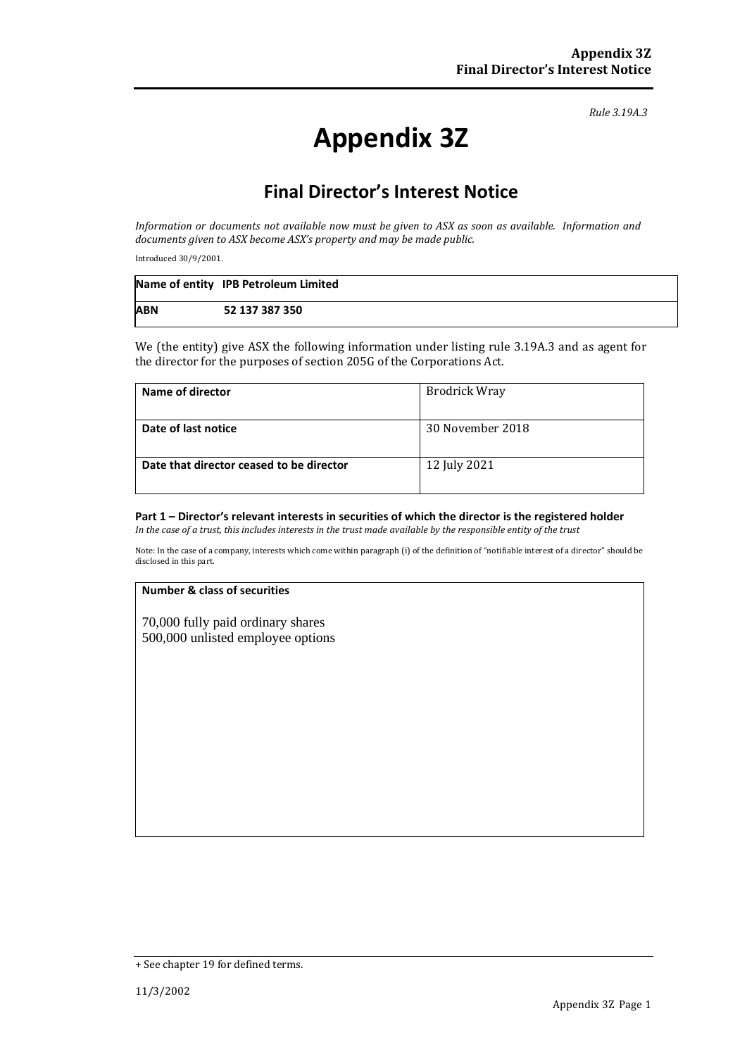*Rule 3.19A.3*

# **Appendix 3Z**

# **Final Director's Interest Notice**

*Information or documents not available now must be given to ASX as soon as available. Information and documents given to ASX become ASX's property and may be made public.*

Introduced 30/9/2001.

|            | Name of entity IPB Petroleum Limited |
|------------|--------------------------------------|
| <b>ABN</b> | 52 137 387 350                       |

We (the entity) give ASX the following information under listing rule 3.19A.3 and as agent for the director for the purposes of section 205G of the Corporations Act.

| Name of director                         | <b>Brodrick Wray</b> |
|------------------------------------------|----------------------|
| Date of last notice                      | 30 November 2018     |
| Date that director ceased to be director | 12 July 2021         |

# **Part 1 – Director's relevant interests in securities of which the director is the registered holder**

*In the case of a trust, this includes interests in the trust made available by the responsible entity of the trust*

Note: In the case of a company, interests which come within paragraph (i) of the definition of "notifiable interest of a director" should be disclosed in this part.

#### **Number & class of securities**

70,000 fully paid ordinary shares 500,000 unlisted employee options

<sup>+</sup> See chapter 19 for defined terms.